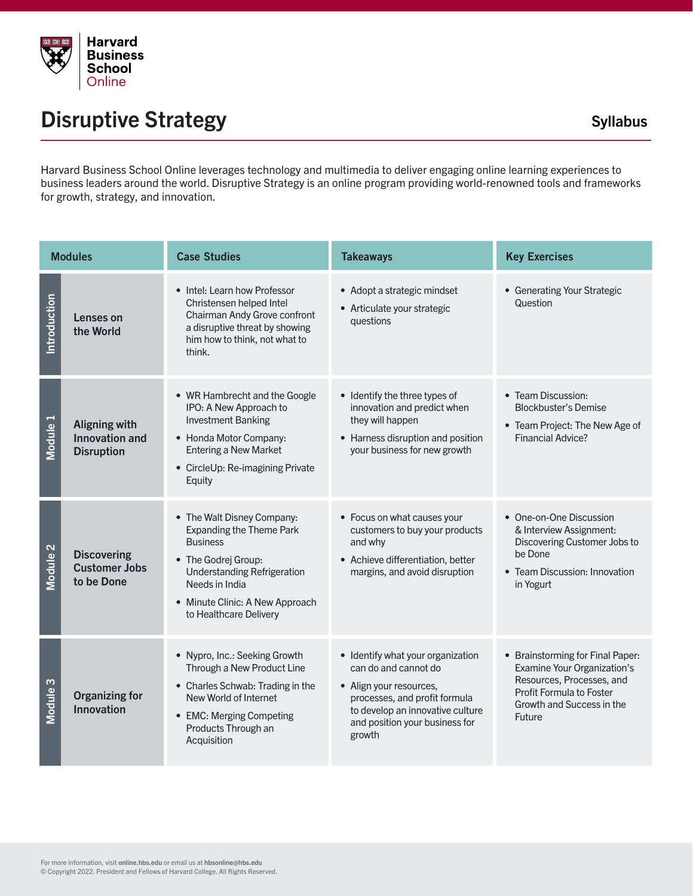

## Disruptive Strategy and the Syllabus Syllabus Syllabus

Harvard Business School Online leverages technology and multimedia to deliver engaging online learning experiences to business leaders around the world. Disruptive Strategy is an online program providing world-renowned tools and frameworks for growth, strategy, and innovation.

| <b>Modules</b>      |                                                                    | <b>Case Studies</b>                                                                                                                                                                                                          | <b>Takeaways</b>                                                                                                                                                                                      | <b>Key Exercises</b>                                                                                                                                            |
|---------------------|--------------------------------------------------------------------|------------------------------------------------------------------------------------------------------------------------------------------------------------------------------------------------------------------------------|-------------------------------------------------------------------------------------------------------------------------------------------------------------------------------------------------------|-----------------------------------------------------------------------------------------------------------------------------------------------------------------|
| Introduction        | Lenses on<br>the World                                             | • Intel: Learn how Professor<br>Christensen helped Intel<br>Chairman Andy Grove confront<br>a disruptive threat by showing<br>him how to think, not what to<br>think.                                                        | • Adopt a strategic mindset<br>• Articulate your strategic<br><b>auestions</b>                                                                                                                        | • Generating Your Strategic<br>Question                                                                                                                         |
| Module <sub>1</sub> | <b>Aligning with</b><br><b>Innovation and</b><br><b>Disruption</b> | • WR Hambrecht and the Google<br>IPO: A New Approach to<br><b>Investment Banking</b><br>• Honda Motor Company:<br><b>Entering a New Market</b><br>• CircleUp: Re-imagining Private<br>Equity                                 | • Identify the three types of<br>innovation and predict when<br>they will happen<br>• Harness disruption and position<br>your business for new growth                                                 | • Team Discussion:<br><b>Blockbuster's Demise</b><br>• Team Project: The New Age of<br>Financial Advice?                                                        |
| Module <sub>2</sub> | <b>Discovering</b><br><b>Customer Jobs</b><br>to be Done           | • The Walt Disney Company:<br><b>Expanding the Theme Park</b><br><b>Business</b><br>• The Godrej Group:<br><b>Understanding Refrigeration</b><br>Needs in India<br>• Minute Clinic: A New Approach<br>to Healthcare Delivery | • Focus on what causes your<br>customers to buy your products<br>and why<br>• Achieve differentiation, better<br>margins, and avoid disruption                                                        | • One-on-One Discussion<br>& Interview Assignment:<br>Discovering Customer Jobs to<br>be Done<br>• Team Discussion: Innovation<br>in Yogurt                     |
| Module <sub>3</sub> | <b>Organizing for</b><br><b>Innovation</b>                         | • Nypro, Inc.: Seeking Growth<br>Through a New Product Line<br>• Charles Schwab: Trading in the<br>New World of Internet<br>• EMC: Merging Competing<br>Products Through an<br>Acquisition                                   | • Identify what your organization<br>can do and cannot do<br>• Align your resources,<br>processes, and profit formula<br>to develop an innovative culture<br>and position your business for<br>growth | • Brainstorming for Final Paper:<br>Examine Your Organization's<br>Resources, Processes, and<br>Profit Formula to Foster<br>Growth and Success in the<br>Future |